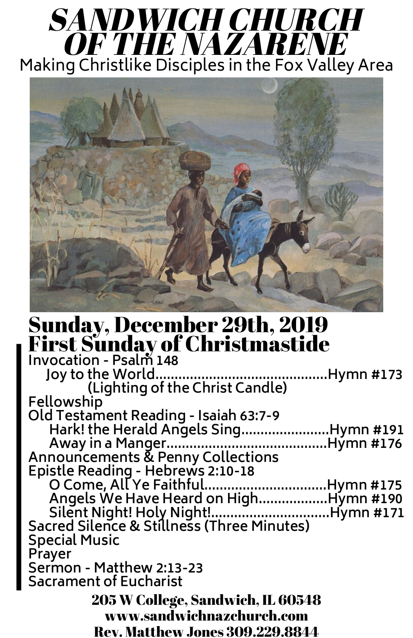#### Sunday, December 29th, 2019 First Sunday of Christmastide **Invocation - Psalm 148 Joy to the World.............................................Hymn #173 (Lighting of the Christ Candle) Fellowship Old Testament Reading - Isaiah 63:7-9 Hark! the Herald Angels Sing.......................Hymn #191 Away in a Manger..........................................Hymn #176 Announcements & Penny Collections**

# SANDWICH CHURCH OF THE NAZARENE Making Christlike Disciples in the Fox Valley Area



**Epistle Reading - Hebrews 2:10-18 O Come, All Ye Faithful................................Hymn #175 Angels We Have Heard on High..................Hymn #190 Silent Night! Holy Night!...............................Hymn #171 Sacred Silence & Stillness (Three Minutes) Special Music Prayer Sermon - Matthew 2:13-23 Sacrament of Eucharist** 205 W College, Sandwich, IL 60548 www.sandwichnazchurch.com Rev. Matthew Jones 309.229.8844